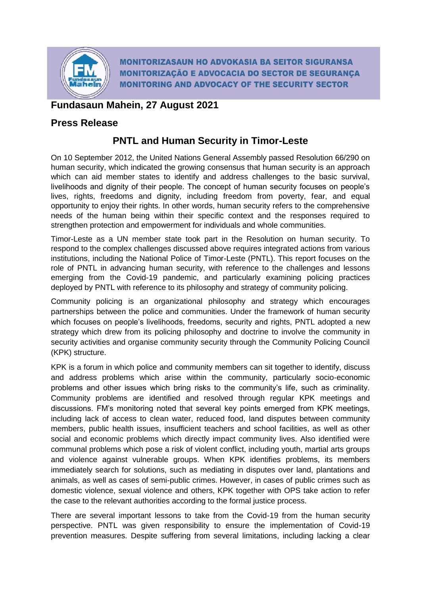

**MONITORIZASAUN HO ADVOKASIA BA SEITOR SIGURANSA MONITORIZAÇÃO E ADVOCACIA DO SECTOR DE SEGURANÇA MONITORING AND ADVOCACY OF THE SECURITY SECTOR** 

## **Fundasaun Mahein, 27 August 2021**

### **Press Release**

# **PNTL and Human Security in Timor-Leste**

On 10 September 2012, the United Nations General Assembly passed Resolution 66/290 on human security, which indicated the growing consensus that human security is an approach which can aid member states to identify and address challenges to the basic survival, livelihoods and dignity of their people. The concept of human security focuses on people's lives, rights, freedoms and dignity, including freedom from poverty, fear, and equal opportunity to enjoy their rights. In other words, human security refers to the comprehensive needs of the human being within their specific context and the responses required to strengthen protection and empowerment for individuals and whole communities.

Timor-Leste as a UN member state took part in the Resolution on human security. To respond to the complex challenges discussed above requires integrated actions from various institutions, including the National Police of Timor-Leste (PNTL). This report focuses on the role of PNTL in advancing human security, with reference to the challenges and lessons emerging from the Covid-19 pandemic, and particularly examining policing practices deployed by PNTL with reference to its philosophy and strategy of community policing.

Community policing is an organizational philosophy and strategy which encourages partnerships between the police and communities. Under the framework of human security which focuses on people's livelihoods, freedoms, security and rights, PNTL adopted a new strategy which drew from its policing philosophy and doctrine to involve the community in security activities and organise community security through the Community Policing Council (KPK) structure.

KPK is a forum in which police and community members can sit together to identify, discuss and address problems which arise within the community, particularly socio-economic problems and other issues which bring risks to the community's life, such as criminality. Community problems are identified and resolved through regular KPK meetings and discussions. FM's monitoring noted that several key points emerged from KPK meetings, including lack of access to clean water, reduced food, land disputes between community members, public health issues, insufficient teachers and school facilities, as well as other social and economic problems which directly impact community lives. Also identified were communal problems which pose a risk of violent conflict, including youth, martial arts groups and violence against vulnerable groups. When KPK identifies problems, its members immediately search for solutions, such as mediating in disputes over land, plantations and animals, as well as cases of semi-public crimes. However, in cases of public crimes such as domestic violence, sexual violence and others, KPK together with OPS take action to refer the case to the relevant authorities according to the formal justice process.

There are several important lessons to take from the Covid-19 from the human security perspective. PNTL was given responsibility to ensure the implementation of Covid-19 prevention measures. Despite suffering from several limitations, including lacking a clear